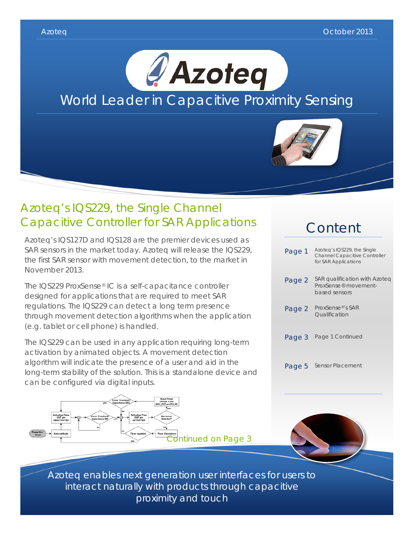

## Azoteq's IQS229, the Single Channel Capacitive Controller for SAR Applications

Azoteq's IQS127D and IQS128 are the premier devices used as SAR sensors in the market today. Azoteq will release the IQS229, the first SAR sensor with movement detection, to the market in November 2013.

The IQS229 ProxSense® IC is a self-capacitance controller designed for applications that are required to meet SAR regulations. The IQS229 can detect a long term presence through movement detection algorithms when the application (e.g. tablet or cell phone) is handled.

The IQS229 can be used in any application requiring long-term activation by animated objects. A movement detection algorithm will indicate the presence of a user and aid in the long-term stability of the solution. This is a standalone device and can be configured via digital inputs.



# Content

| Page 1 | Azoteg's IQS229, the Single<br><b>Channel Capacitive Controller</b><br>for SAR Applications |
|--------|---------------------------------------------------------------------------------------------|
| Page 2 | SAR qualification with Azoteg<br>ProxSense® movement-<br>based sensors                      |
| Page 2 | ProxSense <sup>®</sup> 's SAR<br>Oualification                                              |
| Page 3 | Page 1 Continued                                                                            |
| Page 5 | <b>Sensor Placement</b>                                                                     |



Azoteq enables next generation user interfaces for users to interact naturally with products through capacitive proximity and touch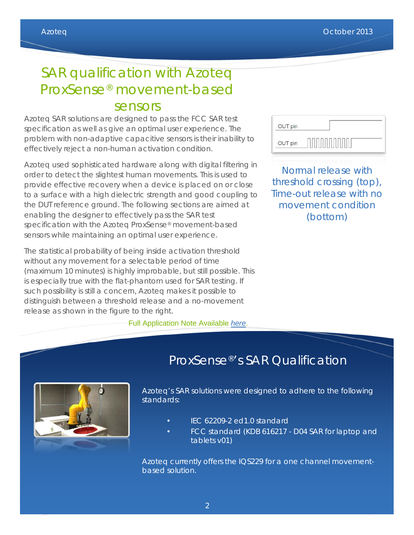# SAR qualification with Azoteq ProxSense® movement-based sensors

Azoteq SAR solutions are designed to pass the FCC SAR test specification as well as give an optimal user experience. The problem with non-adaptive capacitive sensors is their inability to effectively reject a non-human activation condition.

Azoteq used sophisticated hardware along with digital filtering in order to detect the slightest human movements. This is used to provide effective recovery when a device is placed on or close to a surface with a high dielectric strength and good coupling to the DUT reference ground. The following sections are aimed at enabling the designer to effectively pass the SAR test specification with the Azoteq ProxSense® movement-based sensors while maintaining an optimal user experience.

The statistical probability of being inside activation threshold without any movement for a selectable period of time (maximum 10 minutes) is highly improbable, but still possible. This is especially true with the flat-phantom used for SAR testing. If such possibility is still a concern, Azoteq makes it possible to distinguish between a threshold release and a no-movement release as shown in the figure to the right.

Full Application Note Available *[here](http://www.azoteq.com/images/stories/pdf/azd073_sar_qualification_with_azoteq_movement-based_sensors.pdf)*.

| OUT pin |  |
|---------|--|
| OUT pin |  |

Normal release with threshold crossing (top), Time-out release with no movement condition (bottom)

# ProxSense®'s SAR Qualification



Azoteq's SAR solutions were designed to adhere to the following standards:

- IEC 62209-2 ed1.0 standard
- FCC standard (KDB 616217 D04 SAR for laptop and tablets v01)

Azoteq currently offers the IQS229 for a one channel movementbased solution.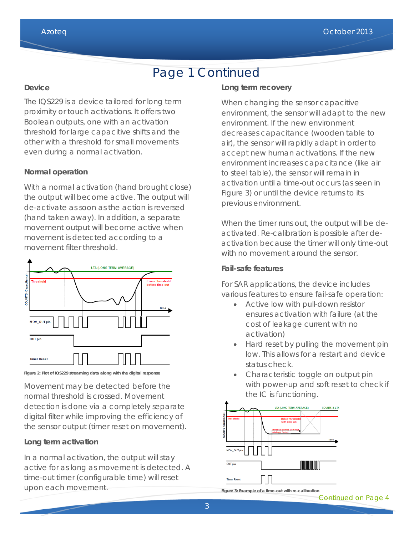## Page 1 Continued

#### **Device**

The IQS229 is a device tailored for long term proximity or touch activations. It offers two Boolean outputs, one with an activation threshold for large capacitive shifts and the other with a threshold for small movements even during a normal activation.

#### **Normal operation**

With a normal activation (hand brought close) the output will become active. The output will de-activate as soon as the action is reversed (hand taken away). In addition, a separate movement output will become active when movement is detected according to a movement filter threshold.



**Figure 2: Plot of IQS229 streaming data along with the digital response**

Movement may be detected before the normal threshold is crossed. Movement detection is done via a completely separate digital filter while improving the efficiency of the sensor output (timer reset on movement).

#### **Long term activation**

In a normal activation, the output will stay active for as long as movement is detected. A time-out timer (configurable time) will reset upon each movement.

#### **Long term recovery**

When changing the sensor capacitive environment, the sensor will adapt to the new environment. If the new environment decreases capacitance (wooden table to air), the sensor will rapidly adapt in order to accept new human activations. If the new environment increases capacitance (like air to steel table), the sensor will remain in activation until a time-out occurs (as seen in Figure 3) or until the device returns to its previous environment.

When the timer runs out, the output will be deactivated. Re-calibration is possible after deactivation because the timer will only time-out with no movement around the sensor.

#### **Fail-safe features**

For SAR applications, the device includes various features to ensure fail-safe operation:

- Active low with pull-down resistor ensures activation with failure (at the cost of leakage current with no activation)
- Hard reset by pulling the movement pin low. This allows for a restart and device status check.
- Characteristic toggle on output pin with power-up and soft reset to check if the IC is functioning.



**Figure 3: Example of a time-out with re-calibration**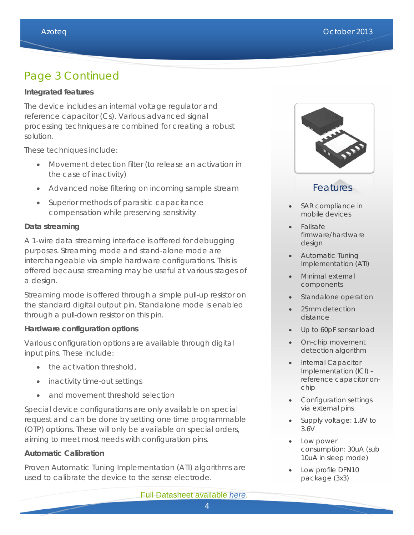### Page 3 Continued

#### **Integrated features**

The device includes an internal voltage regulator and reference capacitor (Cs). Various advanced signal processing techniques are combined for creating a robust solution.

These techniques include:

- Movement detection filter (to release an activation in the case of inactivity)
- Advanced noise filtering on incoming sample stream
- Superior methods of parasitic capacitance compensation while preserving sensitivity

#### **Data streaming**

A 1-wire data streaming interface is offered for debugging purposes. Streaming mode and stand-alone mode are interchangeable via simple hardware configurations. This is offered because streaming may be useful at various stages of a design.

Streaming mode is offered through a simple pull-up resistor on the standard digital output pin. Standalone mode is enabled through a pull-down resistor on this pin.

#### **Hardware configuration options**

Various configuration options are available through digital input pins. These include:

- the activation threshold,
- inactivity time-out settings
- and movement threshold selection

Special device configurations are only available on special request and can be done by setting one time programmable (OTP) options. These will only be available on special orders, aiming to meet most needs with configuration pins.

#### **Automatic Calibration**

Proven Automatic Tuning Implementation (ATI) algorithms are used to calibrate the device to the sense electrode.



### Features

- SAR compliance in mobile devices
- Failsafe firmware/hardware design
- Automatic Tuning Implementation (ATI)
- Minimal external components
- Standalone operation
- 25mm detection distance
- Up to 60pF sensor load
- On-chip movement detection algorithm
- Internal Capacitor Implementation (ICI) – reference capacitor onchip
- Configuration settings via external pins
- Supply voltage: 1.8V to 3.6V
- Low power consumption: 30uA (sub 10uA in sleep mode)
- Low profile DFN10 package (3x3)

Full Datasheet available *[here](http://www.azoteq.com/images/stories/pdf/iqs229_datasheet.pdf)*.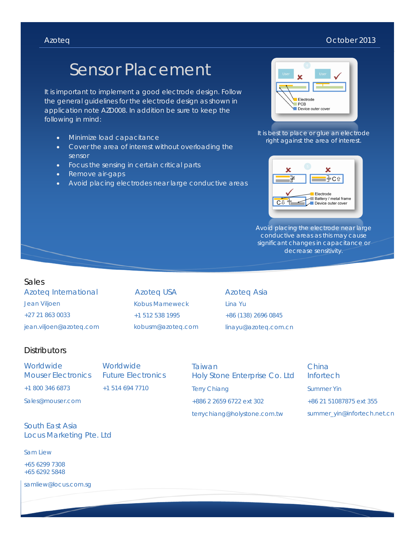#### Azoteq October 2013

# Sensor Placement

It is important to implement a good electrode design. Follow the general guidelines for the electrode design as shown in application note AZD008. In addition be sure to keep the following in mind:

- Minimize load capacitance
- Cover the area of interest without overloading the sensor
- Focus the sensing in certain critical parts
- Remove air-gaps
- Avoid placing electrodes near large conductive areas



It is best to place or glue an electrode right against the area of interest.



Avoid placing the electrode near large conductive areas as this may cause significant changes in capacitance or decrease sensitivity.

#### Sales

Azoteq International Jean Viljoen +27 21 863 0033 jean.viljoen@azoteq.com

Azoteq USA Kobus Marneweck +1 512 538 1995 kobusm@azoteq.com Azoteq Asia Lina Yu +86 (138) 2696 0845 linayu@azoteq.com.cn

### **Distributors**

Worldwide Mouser Electronics Worldwide Future Electronics +1 514 694 7710

Sales@mouser.com

+1 800 346 6873

South East Asia Locus Marketing Pte. Ltd

Sam Liew

+65 6299 7308 +65 6292 5848

samliew@locus.com.sg

Taiwan Holy Stone Enterprise Co. Ltd Terry Chiang +886 2 2659 6722 ext 302 terrychiang@holystone.com.tw

China **Infortech** Summer Yin +86 21 51087875 ext 355 summer\_yin@infortech.net.cn